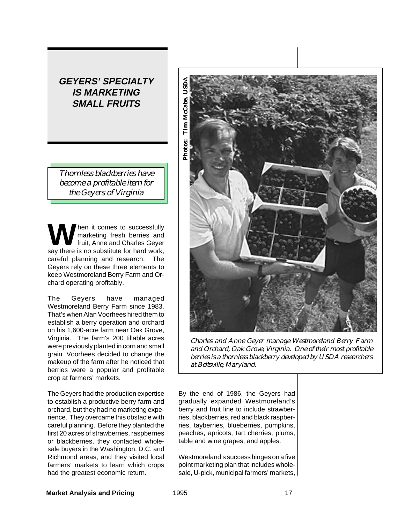# **GEYERS' SPECIALTY IS MARKETING SMALL FRUITS**

*Thornless blackberries have become a profitable item for the Geyers of Virginia*

**W** hen it comes to successfully<br>fruit, Anne and Charles Geyer<br>say there is no substitute for bard work marketing fresh berries and say there is no substitute for hard work, careful planning and research. The Geyers rely on these three elements to keep Westmoreland Berry Farm and Orchard operating profitably.

The Geyers have managed Westmoreland Berry Farm since 1983. That's when Alan Voorhees hired them to establish a berry operation and orchard on his 1,600-acre farm near Oak Grove, Virginia. The farm's 200 tillable acres were previously planted in corn and small grain. Voorhees decided to change the makeup of the farm after he noticed that berries were a popular and profitable crop at farmers' markets.

The Geyers had the production expertise to establish a productive berry farm and orchard, but they had no marketing experience. They overcame this obstacle with careful planning. Before they planted the first 20 acres of strawberries, raspberries or blackberries, they contacted wholesale buyers in the Washington, D.C. and Richmond areas, and they visited local farmers' markets to learn which crops had the greatest economic return.



*Charles and Anne Geyer manage Westmoreland Berry Farm and Orchard, Oak Grove, Virginia. One of their most profitable berries is a thornless blackberry developed by USDA researchers at Beltsville, Maryland.*

By the end of 1986, the Geyers had gradually expanded Westmoreland's berry and fruit line to include strawberries, blackberries, red and black raspberries, tayberries, blueberries, pumpkins, peaches, apricots, tart cherries, plums, table and wine grapes, and apples.

Westmoreland's success hinges on a five point marketing plan that includes wholesale, U-pick, municipal farmers' markets,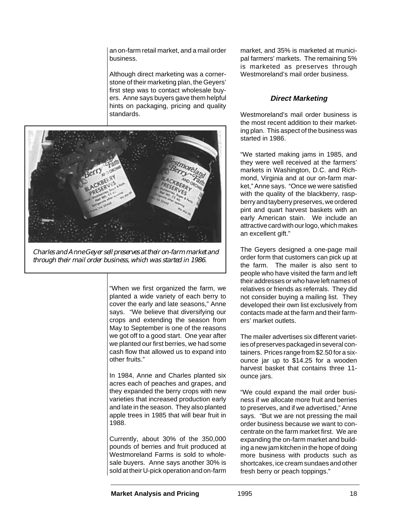an on-farm retail market, and a mail order business.

Although direct marketing was a cornerstone of their marketing plan, the Geyers' first step was to contact wholesale buyers. Anne says buyers gave them helpful hints on packaging, pricing and quality standards.



*Charles and Anne Geyer sell preserves at their on-farm market and through their mail order business, which was started in 1986.*

"When we first organized the farm, we planted a wide variety of each berry to cover the early and late seasons," Anne says. "We believe that diversifying our crops and extending the season from May to September is one of the reasons we got off to a good start. One year after we planted our first berries, we had some cash flow that allowed us to expand into other fruits."

In 1984, Anne and Charles planted six acres each of peaches and grapes, and they expanded the berry crops with new varieties that increased production early and late in the season. They also planted apple trees in 1985 that will bear fruit in 1988.

Currently, about 30% of the 350,000 pounds of berries and fruit produced at Westmoreland Farms is sold to wholesale buyers. Anne says another 30% is sold at their U-pick operation and on-farm

market, and 35% is marketed at municipal farmers' markets. The remaining 5% is marketed as preserves through Westmoreland's mail order business.

## **Direct Marketing**

Westmoreland's mail order business is the most recent addition to their marketing plan. This aspect of the business was started in 1986.

"We started making jams in 1985, and they were well received at the farmers' markets in Washington, D.C. and Richmond, Virginia and at our on-farm market," Anne says. "Once we were satisfied with the quality of the blackberry, raspberry and tayberry preserves, we ordered pint and quart harvest baskets with an early American stain. We include an attractive card with our logo, which makes an excellent gift."

The Geyers designed a one-page mail order form that customers can pick up at the farm. The mailer is also sent to people who have visited the farm and left their addresses or who have left names of relatives or friends as referrals. They did not consider buying a mailing list. They developed their own list exclusively from contacts made at the farm and their farmers' market outlets.

The mailer advertises six different varieties of preserves packaged in several containers. Prices range from \$2.50 for a sixounce jar up to \$14.25 for a wooden harvest basket that contains three 11 ounce jars.

"We could expand the mail order business if we allocate more fruit and berries to preserves, and if we advertised," Anne says. "But we are not pressing the mail order business because we want to concentrate on the farm market first. We are expanding the on-farm market and building a new jam kitchen in the hope of doing more business with products such as shortcakes, ice cream sundaes and other fresh berry or peach toppings."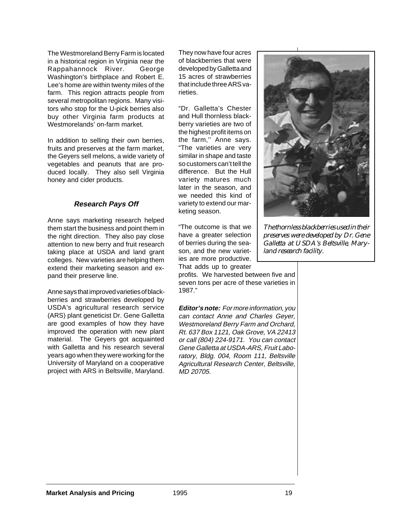The Westmoreland Berry Farm is located in a historical region in Virginia near the Rappahannock River. George Washington's birthplace and Robert E. Lee's home are within twenty miles of the farm. This region attracts people from several metropolitan regions. Many visitors who stop for the U-pick berries also buy other Virginia farm products at Westmorelands' on-farm market.

In addition to selling their own berries, fruits and preserves at the farm market, the Geyers sell melons, a wide variety of vegetables and peanuts that are produced locally. They also sell Virginia honey and cider products.

## **Research Pays Off**

Anne says marketing research helped them start the business and point them in the right direction. They also pay close attention to new berry and fruit research taking place at USDA and land grant colleges. New varieties are helping them extend their marketing season and expand their preserve line.

Anne says that improved varieties of blackberries and strawberries developed by USDA's agricultural research service (ARS) plant geneticist Dr. Gene Galletta are good examples of how they have improved the operation with new plant material. The Geyers got acquainted with Galletta and his research several years ago when they were working for the University of Maryland on a cooperative project with ARS in Beltsville, Maryland.

They now have four acres of blackberries that were developed by Galletta and 15 acres of strawberries that include three ARS varieties.

"Dr. Galletta's Chester and Hull thornless blackberry varieties are two of the highest profit items on the farm,'' Anne says. "The varieties are very similar in shape and taste so customers can't tell the difference. But the Hull variety matures much later in the season, and we needed this kind of variety to extend our marketing season.

"The outcome is that we have a greater selection of berries during the season, and the new varieties are more productive. That adds up to greater

profits. We harvested between five and seven tons per acre of these varieties in 1987."

**Editor's note:** For more information, you can contact Anne and Charles Geyer, Westmoreland Berry Farm and Orchard, Rt. 637 Box 1121, Oak Grove, VA 22413 or call (804) 224-9171. You can contact Gene Galletta at USDA-ARS, Fruit Laboratory, Bldg. 004, Room 111, Beltsville Agricultural Research Center, Beltsville, MD 20705.



*The thornless blackberries used in their preserves were developed by Dr. Gene Galletta at USDA's Beltsville, Maryland research facility.*